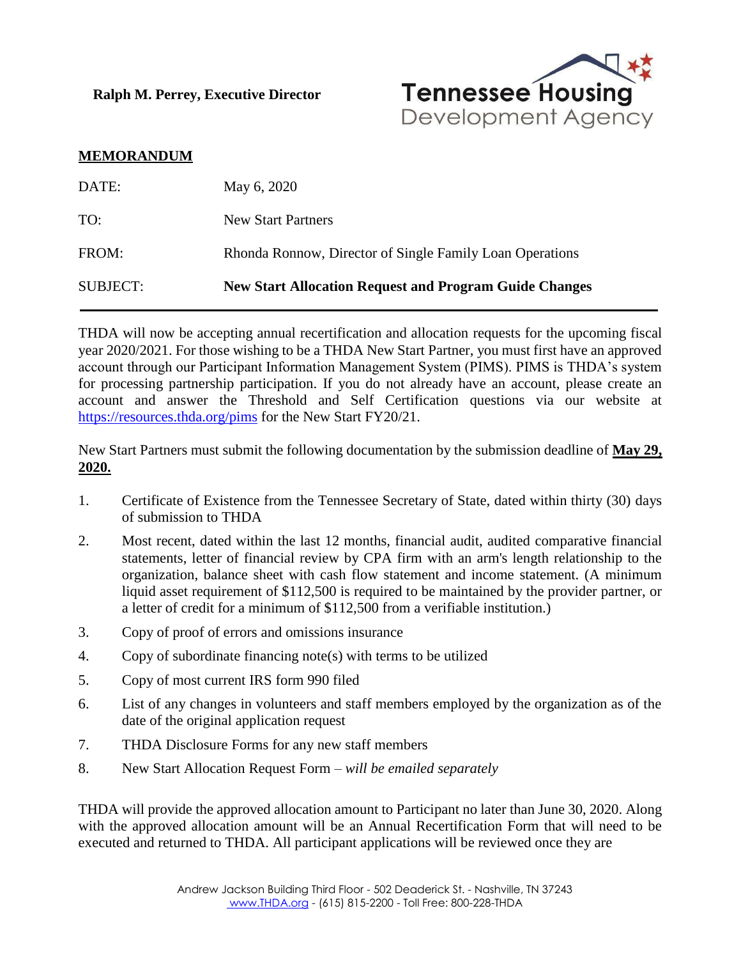**Ralph M. Perrey, Executive Director**



## **MEMORANDUM**

| <b>SUBJECT:</b> | <b>New Start Allocation Request and Program Guide Changes</b> |
|-----------------|---------------------------------------------------------------|
| FROM:           | Rhonda Ronnow, Director of Single Family Loan Operations      |
| TO:             | <b>New Start Partners</b>                                     |
| DATE:           | May 6, 2020                                                   |

THDA will now be accepting annual recertification and allocation requests for the upcoming fiscal year 2020/2021. For those wishing to be a THDA New Start Partner, you must first have an approved account through our Participant Information Management System (PIMS). PIMS is THDA's system for processing partnership participation. If you do not already have an account, please create an account and answer the Threshold and Self Certification questions via our website at <https://resources.thda.org/pims> for the New Start FY20/21.

New Start Partners must submit the following documentation by the submission deadline of **May 29, 2020.**

- 1. Certificate of Existence from the Tennessee Secretary of State, dated within thirty (30) days of submission to THDA
- 2. Most recent, dated within the last 12 months, financial audit, audited comparative financial statements, letter of financial review by CPA firm with an arm's length relationship to the organization, balance sheet with cash flow statement and income statement. (A minimum liquid asset requirement of \$112,500 is required to be maintained by the provider partner, or a letter of credit for a minimum of \$112,500 from a verifiable institution.)
- 3. Copy of proof of errors and omissions insurance
- 4. Copy of subordinate financing note(s) with terms to be utilized
- 5. Copy of most current IRS form 990 filed
- 6. List of any changes in volunteers and staff members employed by the organization as of the date of the original application request
- 7. THDA Disclosure Forms for any new staff members
- 8. New Start Allocation Request Form *will be emailed separately*

THDA will provide the approved allocation amount to Participant no later than June 30, 2020. Along with the approved allocation amount will be an Annual Recertification Form that will need to be executed and returned to THDA. All participant applications will be reviewed once they are